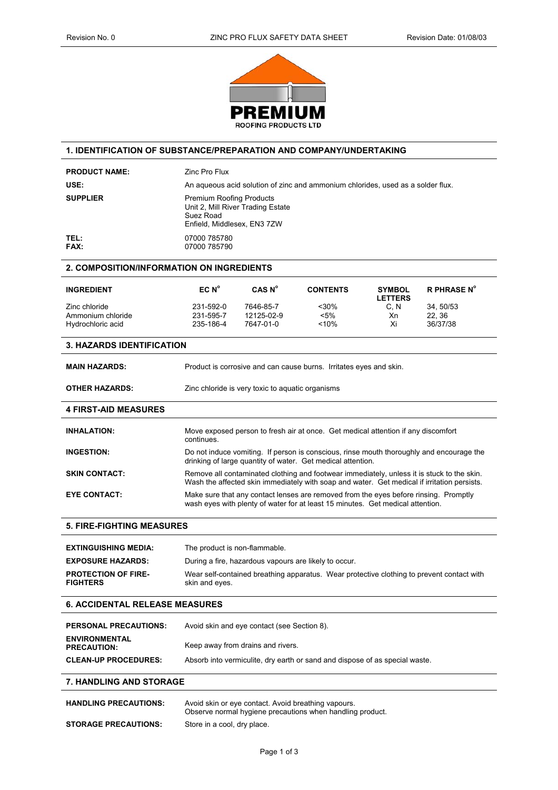

# **1. IDENTIFICATION OF SUBSTANCE/PREPARATION AND COMPANY/UNDERTAKING**

| <b>PRODUCT NAME:</b>                          | <b>Zinc Pro Flux</b>                                                                                                                                                                                                                                                              |                                                  |                                                                                |                                 |                    |
|-----------------------------------------------|-----------------------------------------------------------------------------------------------------------------------------------------------------------------------------------------------------------------------------------------------------------------------------------|--------------------------------------------------|--------------------------------------------------------------------------------|---------------------------------|--------------------|
| USE:                                          | An aqueous acid solution of zinc and ammonium chlorides, used as a solder flux.                                                                                                                                                                                                   |                                                  |                                                                                |                                 |                    |
| <b>SUPPLIER</b>                               | <b>Premium Roofing Products</b><br>Unit 2, Mill River Trading Estate<br>Suez Road<br>Enfield, Middlesex, EN3 7ZW                                                                                                                                                                  |                                                  |                                                                                |                                 |                    |
| TEL:<br><b>FAX:</b>                           | 07000 785780<br>07000 785790                                                                                                                                                                                                                                                      |                                                  |                                                                                |                                 |                    |
| 2. COMPOSITION/INFORMATION ON INGREDIENTS     |                                                                                                                                                                                                                                                                                   |                                                  |                                                                                |                                 |                    |
| <b>INGREDIENT</b>                             | EC N <sup>o</sup>                                                                                                                                                                                                                                                                 | CAS N <sup>o</sup>                               | <b>CONTENTS</b>                                                                | <b>SYMBOL</b><br><b>LETTERS</b> | <b>R PHRASE N°</b> |
| Zinc chloride                                 | 231-592-0                                                                                                                                                                                                                                                                         | 7646-85-7                                        | $30%$                                                                          | C, N                            | 34, 50/53          |
| Ammonium chloride                             | 231-595-7                                                                                                                                                                                                                                                                         | 12125-02-9                                       | $< 5\%$                                                                        | Xn                              | 22, 36             |
| Hydrochloric acid                             | 235-186-4                                                                                                                                                                                                                                                                         | 7647-01-0                                        | $~10\%$                                                                        | Xi                              | 36/37/38           |
| <b>3. HAZARDS IDENTIFICATION</b>              |                                                                                                                                                                                                                                                                                   |                                                  |                                                                                |                                 |                    |
| <b>MAIN HAZARDS:</b>                          |                                                                                                                                                                                                                                                                                   |                                                  | Product is corrosive and can cause burns. Irritates eyes and skin.             |                                 |                    |
| <b>OTHER HAZARDS:</b>                         |                                                                                                                                                                                                                                                                                   | Zinc chloride is very toxic to aquatic organisms |                                                                                |                                 |                    |
| <b>4 FIRST-AID MEASURES</b>                   |                                                                                                                                                                                                                                                                                   |                                                  |                                                                                |                                 |                    |
| <b>INHALATION:</b>                            | Move exposed person to fresh air at once. Get medical attention if any discomfort<br>continues.                                                                                                                                                                                   |                                                  |                                                                                |                                 |                    |
| <b>INGESTION:</b>                             | Do not induce vomiting. If person is conscious, rinse mouth thoroughly and encourage the<br>drinking of large quantity of water. Get medical attention.                                                                                                                           |                                                  |                                                                                |                                 |                    |
| <b>SKIN CONTACT:</b>                          | Remove all contaminated clothing and footwear immediately, unless it is stuck to the skin.<br>Wash the affected skin immediately with soap and water. Get medical if irritation persists.<br>Make sure that any contact lenses are removed from the eyes before rinsing. Promptly |                                                  |                                                                                |                                 |                    |
| <b>EYE CONTACT:</b>                           |                                                                                                                                                                                                                                                                                   |                                                  | wash eyes with plenty of water for at least 15 minutes. Get medical attention. |                                 |                    |
| <b>5. FIRE-FIGHTING MEASURES</b>              |                                                                                                                                                                                                                                                                                   |                                                  |                                                                                |                                 |                    |
| <b>EXTINGUISHING MEDIA:</b>                   | The product is non-flammable.                                                                                                                                                                                                                                                     |                                                  |                                                                                |                                 |                    |
| <b>EXPOSURE HAZARDS:</b>                      | During a fire, hazardous vapours are likely to occur.                                                                                                                                                                                                                             |                                                  |                                                                                |                                 |                    |
| <b>PROTECTION OF FIRE-</b><br><b>FIGHTERS</b> | Wear self-contained breathing apparatus. Wear protective clothing to prevent contact with<br>skin and eyes.                                                                                                                                                                       |                                                  |                                                                                |                                 |                    |
| <b>6. ACCIDENTAL RELEASE MEASURES</b>         |                                                                                                                                                                                                                                                                                   |                                                  |                                                                                |                                 |                    |
| <b>PERSONAL PRECAUTIONS:</b>                  | Avoid skin and eye contact (see Section 8).                                                                                                                                                                                                                                       |                                                  |                                                                                |                                 |                    |
| <b>ENVIRONMENTAL</b><br><b>PRECAUTION:</b>    | Keep away from drains and rivers.                                                                                                                                                                                                                                                 |                                                  |                                                                                |                                 |                    |
| <b>CLEAN-UP PROCEDURES:</b>                   |                                                                                                                                                                                                                                                                                   |                                                  | Absorb into vermiculite, dry earth or sand and dispose of as special waste.    |                                 |                    |
| <b>7. HANDLING AND STORAGE</b>                |                                                                                                                                                                                                                                                                                   |                                                  |                                                                                |                                 |                    |
| <b>HANDLING PRECAUTIONS:</b>                  | Avoid skin or eye contact. Avoid breathing vapours.<br>Observe normal hygiene precautions when handling product.                                                                                                                                                                  |                                                  |                                                                                |                                 |                    |
| <b>STORAGE PRECAUTIONS:</b>                   | Store in a cool, dry place.                                                                                                                                                                                                                                                       |                                                  |                                                                                |                                 |                    |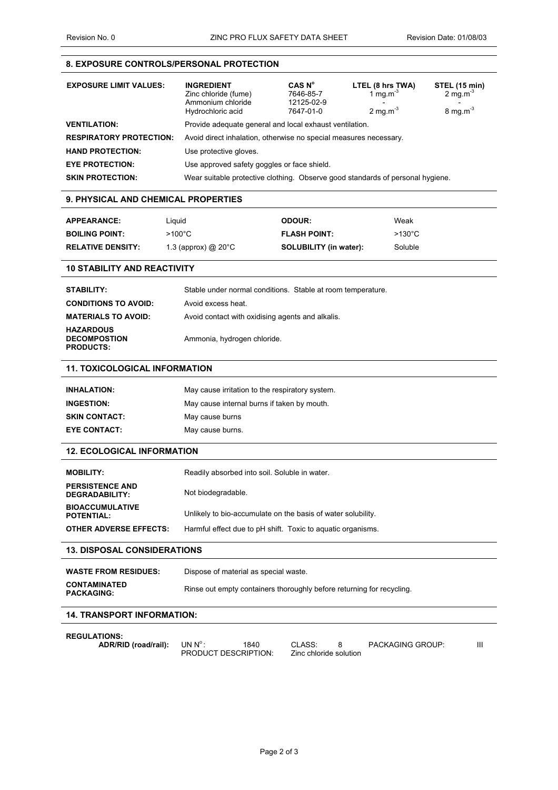# **8. EXPOSURE CONTROLS/PERSONAL PROTECTION**

| <b>EXPOSURE LIMIT VALUES:</b>  | <b>INGREDIENT</b><br>Zinc chloride (fume)<br>Ammonium chloride<br>Hydrochloric acid | CAS N <sup>o</sup><br>7646-85-7<br>12125-02-9<br>7647-01-0 | LTEL (8 hrs TWA)<br>1 mg.m <sup>-3</sup><br>2 mg.m $3$ | STEL (15 min)<br>$2 \text{ mg.m}^3$<br>$8 \text{ mg.m}^3$ |  |
|--------------------------------|-------------------------------------------------------------------------------------|------------------------------------------------------------|--------------------------------------------------------|-----------------------------------------------------------|--|
| <b>VENTILATION:</b>            | Provide adequate general and local exhaust ventilation.                             |                                                            |                                                        |                                                           |  |
| <b>RESPIRATORY PROTECTION:</b> | Avoid direct inhalation, otherwise no special measures necessary.                   |                                                            |                                                        |                                                           |  |
| <b>HAND PROTECTION:</b>        | Use protective gloves.                                                              |                                                            |                                                        |                                                           |  |
| <b>EYE PROTECTION:</b>         | Use approved safety goggles or face shield.                                         |                                                            |                                                        |                                                           |  |
| <b>SKIN PROTECTION:</b>        | Wear suitable protective clothing. Observe good standards of personal hygiene.      |                                                            |                                                        |                                                           |  |

### **9. PHYSICAL AND CHEMICAL PROPERTIES**

| <b>APPEARANCE:</b>       | Liauid                   | <b>ODOUR:</b>                 | Weak             |
|--------------------------|--------------------------|-------------------------------|------------------|
| <b>BOILING POINT:</b>    | $>100^{\circ}$ C         | <b>FLASH POINT:</b>           | $>130^{\circ}$ C |
| <b>RELATIVE DENSITY:</b> | 1.3 (approx) $@$ 20 $°C$ | <b>SOLUBILITY (in water):</b> | Soluble          |

# **10 STABILITY AND REACTIVITY**

| <b>STABILITY:</b>                                           | Stable under normal conditions. Stable at room temperature. |
|-------------------------------------------------------------|-------------------------------------------------------------|
| <b>CONDITIONS TO AVOID:</b>                                 | Avoid excess heat.                                          |
| <b>MATERIALS TO AVOID:</b>                                  | Avoid contact with oxidising agents and alkalis.            |
| <b>HAZARDOUS</b><br><b>DECOMPOSTION</b><br><b>PRODUCTS:</b> | Ammonia, hydrogen chloride.                                 |

### **11. TOXICOLOGICAL INFORMATION**

| <b>INHALATION:</b>   | May cause irritation to the respiratory system. |
|----------------------|-------------------------------------------------|
| <b>INGESTION:</b>    | May cause internal burns if taken by mouth.     |
| <b>SKIN CONTACT:</b> | May cause burns                                 |
| <b>EYE CONTACT:</b>  | May cause burns.                                |
|                      |                                                 |

# **12. ECOLOGICAL INFORMATION**

| <b>MOBILITY:</b>                            | Readily absorbed into soil. Soluble in water.                |
|---------------------------------------------|--------------------------------------------------------------|
| <b>PERSISTENCE AND</b><br>DEGRADABILITY:    | Not biodegradable.                                           |
| <b>BIOACCUMULATIVE</b><br><b>POTENTIAL:</b> | Unlikely to bio-accumulate on the basis of water solubility. |
| <b>OTHER ADVERSE EFFECTS:</b>               | Harmful effect due to pH shift. Toxic to aguatic organisms.  |

# **13. DISPOSAL CONSIDERATIONS**

| <b>WASTE FROM RESIDUES:</b>              | Dispose of material as special waste.                                 |
|------------------------------------------|-----------------------------------------------------------------------|
| <b>CONTAMINATED</b><br><b>PACKAGING:</b> | Rinse out empty containers thoroughly before returning for recycling. |

# **14. TRANSPORT INFORMATION:**

| <b>REGULATIONS:</b>  |                             |      |                        |                         |   |
|----------------------|-----------------------------|------|------------------------|-------------------------|---|
| ADR/RID (road/rail): | UN $N^{\circ}$ :            | 1840 | CLASS:                 | <b>PACKAGING GROUP:</b> | Ш |
|                      | <b>PRODUCT DESCRIPTION:</b> |      | Zinc chloride solution |                         |   |